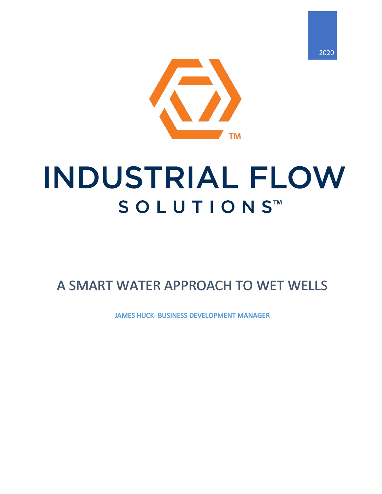



## **INDUSTRIAL FLOW** SOLUTIONS™

## A SMART WATER APPROACH TO WET WELLS<br>JAMES HUCK- BUSINESS DEVELOPMENT MANAGER

JAMES HUCK- BUSINESS DEVELOPMENT MANAGER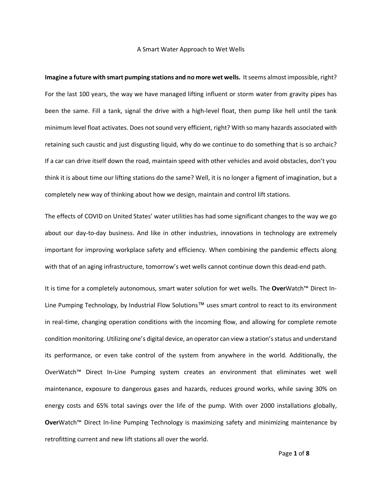## A Smart Water Approach to Wet Wells

**Imagine a future with smart pumping stations and no more wet wells.** It seems almost impossible, right? For the last 100 years, the way we have managed lifting influent or storm water from gravity pipes has been the same. Fill a tank, signal the drive with a high-level float, then pump like hell until the tank minimum level float activates. Does not sound very efficient, right? With so many hazards associated with retaining such caustic and just disgusting liquid, why do we continue to do something that is so archaic? If a car can drive itself down the road, maintain speed with other vehicles and avoid obstacles, don't you think it is about time our lifting stations do the same? Well, it is no longer a figment of imagination, but a completely new way of thinking about how we design, maintain and control lift stations.

The effects of COVID on United States' water utilities has had some significant changes to the way we go about our day-to-day business. And like in other industries, innovations in technology are extremely important for improving workplace safety and efficiency. When combining the pandemic effects along with that of an aging infrastructure, tomorrow's wet wells cannot continue down this dead-end path.

It is time for a completely autonomous, smart water solution for wet wells. The **Over**Watch™ Direct In-Line Pumping Technology, by Industrial Flow Solutions™ uses smart control to react to its environment in real-time, changing operation conditions with the incoming flow, and allowing for complete remote condition monitoring. Utilizing one's digital device, an operator can view a station'sstatus and understand its performance, or even take control of the system from anywhere in the world. Additionally, the OverWatch™ Direct In-Line Pumping system creates an environment that eliminates wet well maintenance, exposure to dangerous gases and hazards, reduces ground works, while saving 30% on energy costs and 65% total savings over the life of the pump. With over 2000 installations globally, **Over**Watch™ Direct In-line Pumping Technology is maximizing safety and minimizing maintenance by retrofitting current and new lift stations all over the world.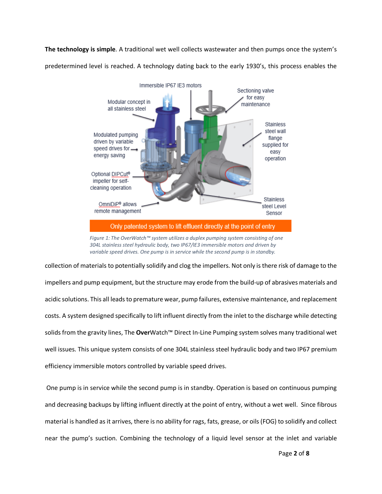**The technology is simple**. A traditional wet well collects wastewater and then pumps once the system's predetermined level is reached. A technology dating back to the early 1930's, this process enables the



*Figure 1: The OverWatch™ system utilizes a duplex pumping system consisting of one 304L stainless steel hydraulic body, two IP67/IE3 immersible motors and driven by variable speed drives. One pump is in service while the second pump is in standby.*

collection of materials to potentially solidify and clog the impellers. Not only is there risk of damage to the impellers and pump equipment, but the structure may erode from the build-up of abrasives materials and acidic solutions. This all leadsto premature wear, pump failures, extensive maintenance, and replacement costs. A system designed specifically to lift influent directly from the inlet to the discharge while detecting solids from the gravity lines, The **Over**Watch™ Direct In-Line Pumping system solves many traditional wet well issues. This unique system consists of one 304L stainless steel hydraulic body and two IP67 premium efficiency immersible motors controlled by variable speed drives.

One pump is in service while the second pump is in standby. Operation is based on continuous pumping and decreasing backups by lifting influent directly at the point of entry, without a wet well. Since fibrous material is handled as it arrives, there is no ability for rags, fats, grease, or oils (FOG) to solidify and collect near the pump's suction. Combining the technology of a liquid level sensor at the inlet and variable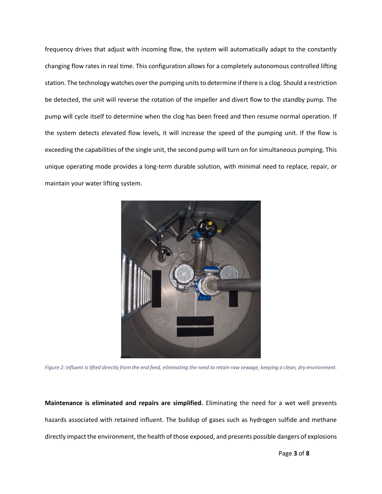frequency drives that adjust with incoming flow, the system will automatically adapt to the constantly changing flow rates in real time. This configuration allows for a completely autonomous controlled lifting station. The technology watches over the pumping units to determine if there is a clog. Should a restriction be detected, the unit will reverse the rotation of the impeller and divert flow to the standby pump. The pump will cycle itself to determine when the clog has been freed and then resume normal operation. If the system detects elevated flow levels, it will increase the speed of the pumping unit. If the flow is exceeding the capabilities of the single unit, the second pump will turn on for simultaneous pumping. This unique operating mode provides a long-term durable solution, with minimal need to replace, repair, or maintain your water lifting system.



*Figure 2: Influent is lifted directly from the end feed, eliminating the need to retain raw sewage, keeping a clean, dry environment.*

**Maintenance is eliminated and repairs are simplified.** Eliminating the need for a wet well prevents hazards associated with retained influent. The buildup of gases such as hydrogen sulfide and methane directly impact the environment, the health of those exposed, and presents possible dangers of explosions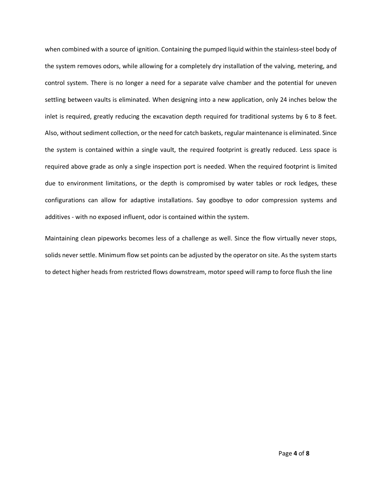when combined with a source of ignition. Containing the pumped liquid within the stainless-steel body of the system removes odors, while allowing for a completely dry installation of the valving, metering, and control system. There is no longer a need for a separate valve chamber and the potential for uneven settling between vaults is eliminated. When designing into a new application, only 24 inches below the inlet is required, greatly reducing the excavation depth required for traditional systems by 6 to 8 feet. Also, without sediment collection, or the need for catch baskets, regular maintenance is eliminated. Since the system is contained within a single vault, the required footprint is greatly reduced. Less space is required above grade as only a single inspection port is needed. When the required footprint is limited due to environment limitations, or the depth is compromised by water tables or rock ledges, these configurations can allow for adaptive installations. Say goodbye to odor compression systems and additives - with no exposed influent, odor is contained within the system.

Maintaining clean pipeworks becomes less of a challenge as well. Since the flow virtually never stops, solids never settle. Minimum flow set points can be adjusted by the operator on site. As the system starts to detect higher heads from restricted flows downstream, motor speed will ramp to force flush the line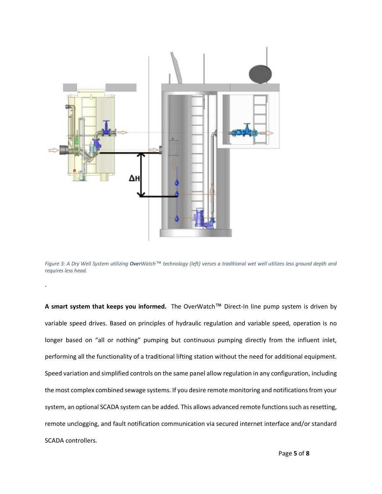

.

*Figure 3: A Dry Well System utilizing OverWatch™ technology (left) verses a traditional wet well utilizes less ground depth and requires less head.*

**A smart system that keeps you informed.** The OverWatch™ Direct-In line pump system is driven by variable speed drives. Based on principles of hydraulic regulation and variable speed, operation is no longer based on "all or nothing" pumping but continuous pumping directly from the influent inlet, performing all the functionality of a traditional lifting station without the need for additional equipment. Speed variation and simplified controls on the same panel allow regulation in any configuration, including the most complex combined sewage systems. If you desire remote monitoring and notificationsfrom your system, an optional SCADA system can be added. This allows advanced remote functions such as resetting, remote unclogging, and fault notification communication via secured internet interface and/or standard SCADA controllers.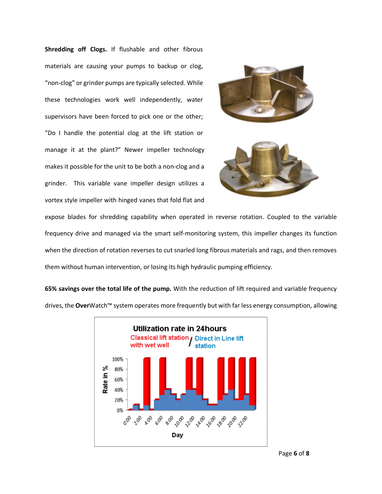**Shredding off Clogs.** If flushable and other fibrous materials are causing your pumps to backup or clog, "non-clog" or grinder pumps are typically selected. While these technologies work well independently, water supervisors have been forced to pick one or the other; "Do I handle the potential clog at the lift station or manage it at the plant?" Newer impeller technology makes it possible for the unit to be both a non-clog and a grinder. This variable vane impeller design utilizes a vortex style impeller with hinged vanes that fold flat and





expose blades for shredding capability when operated in reverse rotation. Coupled to the variable frequency drive and managed via the smart self-monitoring system, this impeller changes its function when the direction of rotation reverses to cut snarled long fibrous materials and rags, and then removes them without human intervention, or losing its high hydraulic pumping efficiency.

**65% savings over the total life of the pump.** With the reduction of lift required and variable frequency drives, the **Over**Watch™ system operates more frequently but with far less energy consumption, allowing

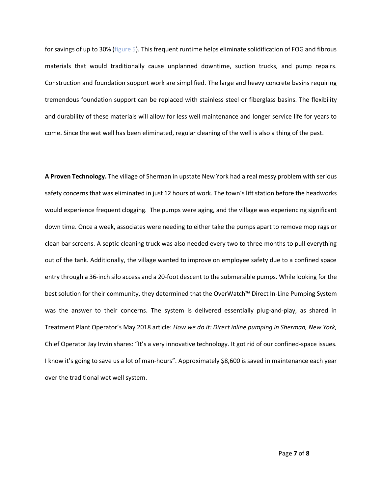for savings of up to 30% (figure 5). This frequent runtime helps eliminate solidification of FOG and fibrous materials that would traditionally cause unplanned downtime, suction trucks, and pump repairs. Construction and foundation support work are simplified. The large and heavy concrete basins requiring tremendous foundation support can be replaced with stainless steel or fiberglass basins. The flexibility and durability of these materials will allow for less well maintenance and longer service life for years to come. Since the wet well has been eliminated, regular cleaning of the well is also a thing of the past.

**A Proven Technology.** The village of Sherman in upstate New York had a real messy problem with serious safety concerns that was eliminated in just 12 hours of work. The town's lift station before the headworks would experience frequent clogging. The pumps were aging, and the village was experiencing significant down time. Once a week, associates were needing to either take the pumps apart to remove mop rags or clean bar screens. A septic cleaning truck was also needed every two to three months to pull everything out of the tank. Additionally, the village wanted to improve on employee safety due to a confined space entry through a 36-inch silo access and a 20-foot descent to the submersible pumps. While looking for the best solution for their community, they determined that the OverWatch™ Direct In-Line Pumping System was the answer to their concerns. The system is delivered essentially plug-and-play, as shared in Treatment Plant Operator's May 2018 article: *How we do it: Direct inline pumping in Sherman, New York,*  Chief Operator Jay Irwin shares: "It's a very innovative technology. It got rid of our confined-space issues. I know it's going to save us a lot of man-hours". Approximately \$8,600 is saved in maintenance each year over the traditional wet well system.